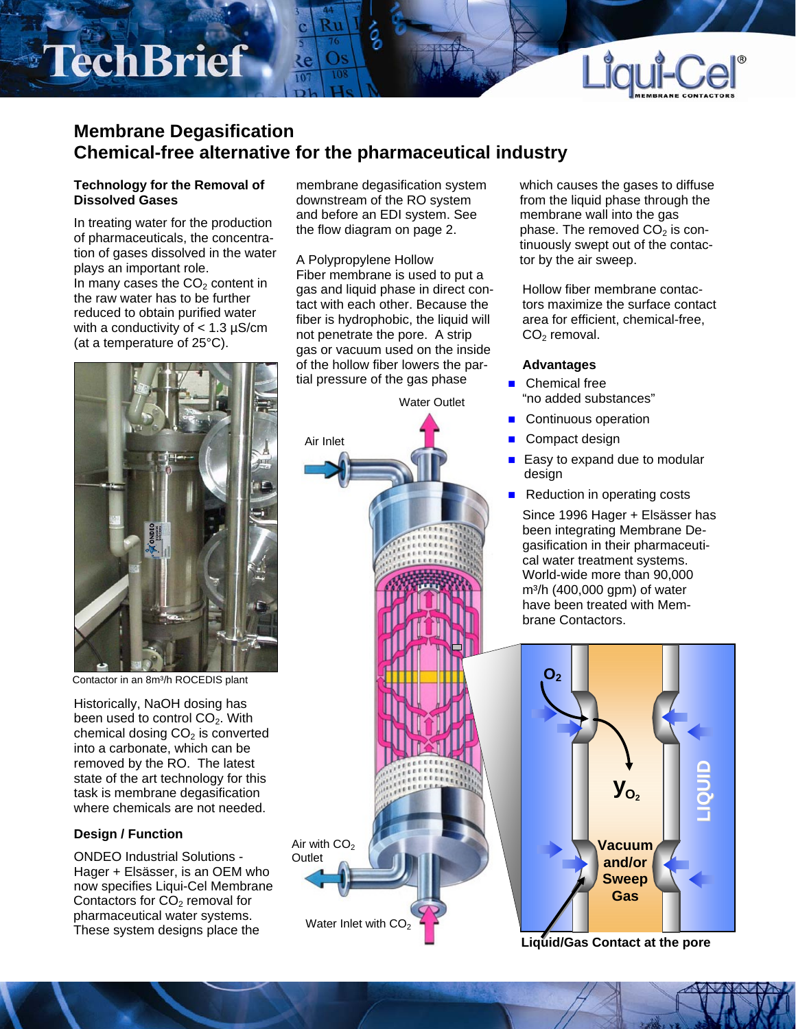# TechBrief



# **Membrane Degasification Chemical-free alternative for the pharmaceutical industry**

 $\overline{10}$ 

## **Technology for the Removal of Dissolved Gases**

In treating water for the production of pharmaceuticals, the concentration of gases dissolved in the water plays an important role. In many cases the  $CO<sub>2</sub>$  content in the raw water has to be further reduced to obtain purified water with a conductivity of  $<$  1.3  $\mu$ S/cm (at a temperature of 25°C).

Contactor in an 8m<sup>3</sup>/h ROCEDIS plant

Historically, NaOH dosing has been used to control  $CO<sub>2</sub>$ . With chemical dosing  $CO<sub>2</sub>$  is converted into a carbonate, which can be removed by the RO. The latest state of the art technology for this task is membrane degasification where chemicals are not needed.

# **Design / Function**

ONDEO Industrial Solutions - Hager + Elsässer, is an OEM who now specifies Liqui-Cel Membrane Contactors for  $CO<sub>2</sub>$  removal for pharmaceutical water systems. These system designs place the

membrane degasification system downstream of the RO system and before an EDI system. See the flow diagram on page 2.

A Polypropylene Hollow Fiber membrane is used to put a gas and liquid phase in direct contact with each other. Because the fiber is hydrophobic, the liquid will not penetrate the pore. A strip gas or vacuum used on the inside of the hollow fiber lowers the partial pressure of the gas phase



which causes the gases to diffuse from the liquid phase through the membrane wall into the gas phase. The removed  $CO<sub>2</sub>$  is continuously swept out of the contactor by the air sweep.

Hollow fiber membrane contactors maximize the surface contact area for efficient, chemical-free,  $CO<sub>2</sub>$  removal.

## **Advantages**

- Chemical free "no added substances"
- Continuous operation
- Compact design
- $\blacksquare$  Easy to expand due to modular design
- Reduction in operating costs Since 1996 Hager + Elsässer has been integrating Membrane Degasification in their pharmaceutical water treatment systems. World-wide more than 90,000  $m<sup>3</sup>/h$  (400,000 gpm) of water

have been treated with Mem-

brane Contactors.



**Liquid/Gas Contact at the pore**

Water Outlet